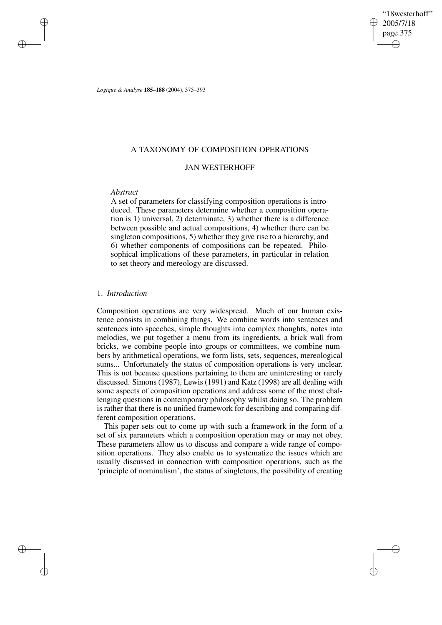"18westerhoff" 2005/7/18 page 375 ✐ ✐

✐

✐

*Logique & Analyse* **185–188** (2004), 375–393

## A TAXONOMY OF COMPOSITION OPERATIONS

# JAN WESTERHOFF

## *Abstract*

✐

✐

✐

✐

A set of parameters for classifying composition operations is introduced. These parameters determine whether a composition operation is 1) universal, 2) determinate, 3) whether there is a difference between possible and actual compositions, 4) whether there can be singleton compositions, 5) whether they give rise to a hierarchy, and 6) whether components of compositions can be repeated. Philosophical implications of these parameters, in particular in relation to set theory and mereology are discussed.

### 1. *Introduction*

Composition operations are very widespread. Much of our human existence consists in combining things. We combine words into sentences and sentences into speeches, simple thoughts into complex thoughts, notes into melodies, we put together a menu from its ingredients, a brick wall from bricks, we combine people into groups or committees, we combine numbers by arithmetical operations, we form lists, sets, sequences, mereological sums... Unfortunately the status of composition operations is very unclear. This is not because questions pertaining to them are uninteresting or rarely discussed. Simons (1987), Lewis (1991) and Katz (1998) are all dealing with some aspects of composition operations and address some of the most challenging questions in contemporary philosophy whilst doing so. The problem is rather that there is no unified framework for describing and comparing different composition operations.

This paper sets out to come up with such a framework in the form of a set of six parameters which a composition operation may or may not obey. These parameters allow us to discuss and compare a wide range of composition operations. They also enable us to systematize the issues which are usually discussed in connection with composition operations, such as the 'principle of nominalism', the status of singletons, the possibility of creating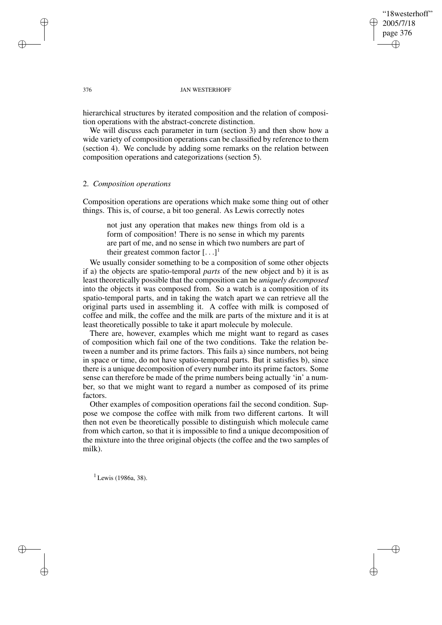## "18westerhoff" 2005/7/18 page 376 ✐ ✐

✐

✐

#### 376 JAN WESTERHOFF

hierarchical structures by iterated composition and the relation of composition operations with the abstract-concrete distinction.

We will discuss each parameter in turn (section 3) and then show how a wide variety of composition operations can be classified by reference to them (section 4). We conclude by adding some remarks on the relation between composition operations and categorizations (section 5).

## 2. *Composition operations*

Composition operations are operations which make some thing out of other things. This is, of course, a bit too general. As Lewis correctly notes

not just any operation that makes new things from old is a form of composition! There is no sense in which my parents are part of me, and no sense in which two numbers are part of their greatest common factor  $[...]^1$ 

We usually consider something to be a composition of some other objects if a) the objects are spatio-temporal *parts* of the new object and b) it is as least theoretically possible that the composition can be *uniquely decomposed* into the objects it was composed from. So a watch is a composition of its spatio-temporal parts, and in taking the watch apart we can retrieve all the original parts used in assembling it. A coffee with milk is composed of coffee and milk, the coffee and the milk are parts of the mixture and it is at least theoretically possible to take it apart molecule by molecule.

There are, however, examples which me might want to regard as cases of composition which fail one of the two conditions. Take the relation between a number and its prime factors. This fails a) since numbers, not being in space or time, do not have spatio-temporal parts. But it satisfies b), since there is a unique decomposition of every number into its prime factors. Some sense can therefore be made of the prime numbers being actually 'in' a number, so that we might want to regard a number as composed of its prime factors.

Other examples of composition operations fail the second condition. Suppose we compose the coffee with milk from two different cartons. It will then not even be theoretically possible to distinguish which molecule came from which carton, so that it is impossible to find a unique decomposition of the mixture into the three original objects (the coffee and the two samples of milk).

 $1$  Lewis (1986a, 38).

✐

✐

✐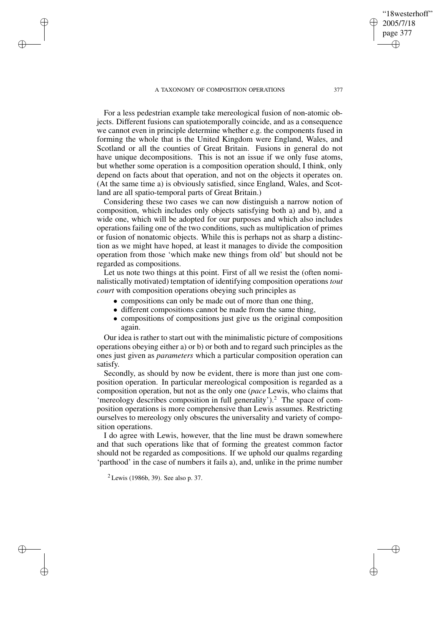✐

✐

✐

✐

For a less pedestrian example take mereological fusion of non-atomic objects. Different fusions can spatiotemporally coincide, and as a consequence we cannot even in principle determine whether e.g. the components fused in forming the whole that is the United Kingdom were England, Wales, and Scotland or all the counties of Great Britain. Fusions in general do not have unique decompositions. This is not an issue if we only fuse atoms, but whether some operation is a composition operation should, I think, only depend on facts about that operation, and not on the objects it operates on. (At the same time a) is obviously satisfied, since England, Wales, and Scotland are all spatio-temporal parts of Great Britain.)

Considering these two cases we can now distinguish a narrow notion of composition, which includes only objects satisfying both a) and b), and a wide one, which will be adopted for our purposes and which also includes operations failing one of the two conditions, such as multiplication of primes or fusion of nonatomic objects. While this is perhaps not as sharp a distinction as we might have hoped, at least it manages to divide the composition operation from those 'which make new things from old' but should not be regarded as compositions.

Let us note two things at this point. First of all we resist the (often nominalistically motivated) temptation of identifying composition operations *tout court* with composition operations obeying such principles as

- compositions can only be made out of more than one thing,
- different compositions cannot be made from the same thing,
- compositions of compositions just give us the original composition again.

Our idea is rather to start out with the minimalistic picture of compositions operations obeying either a) or b) or both and to regard such principles as the ones just given as *parameters* which a particular composition operation can satisfy.

Secondly, as should by now be evident, there is more than just one composition operation. In particular mereological composition is regarded as a composition operation, but not as the only one (*pace* Lewis, who claims that 'mereology describes composition in full generality').<sup>2</sup> The space of composition operations is more comprehensive than Lewis assumes. Restricting ourselves to mereology only obscures the universality and variety of composition operations.

I do agree with Lewis, however, that the line must be drawn somewhere and that such operations like that of forming the greatest common factor should not be regarded as compositions. If we uphold our qualms regarding 'parthood' in the case of numbers it fails a), and, unlike in the prime number

 $2$  Lewis (1986b, 39). See also p. 37.

"18westerhoff" 2005/7/18 page 377

✐

✐

✐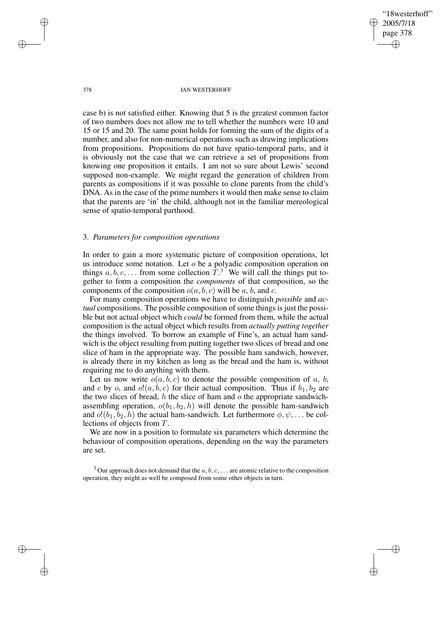"18westerhoff" 2005/7/18 page 378 ✐ ✐

✐

✐

#### 378 JAN WESTERHOFF

case b) is not satisfied either. Knowing that 5 is the greatest common factor of two numbers does not allow me to tell whether the numbers were 10 and 15 or 15 and 20. The same point holds for forming the sum of the digits of a number, and also for non-numerical operations such as drawing implications from propositions. Propositions do not have spatio-temporal parts, and it is obviously not the case that we can retrieve a set of propositions from knowing one proposition it entails. I am not so sure about Lewis' second supposed non-example. We might regard the generation of children from parents as compositions if it was possible to clone parents from the child's DNA. As in the case of the prime numbers it would then make sense to claim that the parents are 'in' the child, although not in the familiar mereological sense of spatio-temporal parthood.

## 3. *Parameters for composition operations*

In order to gain a more systematic picture of composition operations, let us introduce some notation. Let o be a polyadic composition operation on things  $a, b, c, \ldots$  from some collection  $T<sup>3</sup>$ . We will call the things put together to form a composition the *components* of that composition, so the components of the composition  $o(a, b, c)$  will be a, b, and c.

For many composition operations we have to distinguish *possible* and *actual* compositions. The possible composition of some things is just the possible but not actual object which *could* be formed from them, while the actual composition is the actual object which results from *actually putting together* the things involved. To borrow an example of Fine's, an actual ham sandwich is the object resulting from putting together two slices of bread and one slice of ham in the appropriate way. The possible ham sandwich, however, is already there in my kitchen as long as the bread and the ham is, without requiring me to do anything with them.

Let us now write  $o(a, b, c)$  to denote the possible composition of a, b, and c by o, and  $o!(a, b, c)$  for their actual composition. Thus if  $b_1, b_2$  are the two slices of bread, h the slice of ham and  $\sigma$  the appropriate sandwichassembling operation,  $o(b_1, b_2, h)$  will denote the possible ham-sandwich and  $o!(b_1, b_2, h)$  the actual ham-sandwich. Let furthermore  $\phi, \psi, \dots$  be collections of objects from T.

We are now in a position to formulate six parameters which determine the behaviour of composition operations, depending on the way the parameters are set.

<sup>3</sup> Our approach does not demand that the  $a, b, c, \ldots$  are atomic relative to the composition operation, they might as well be composed from some other objects in turn.

✐

✐

✐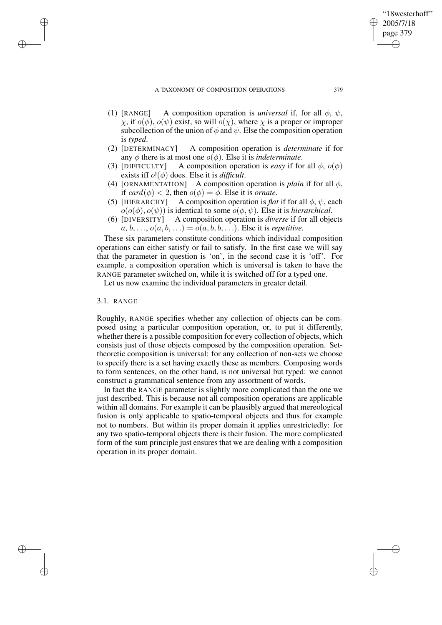- (1) [RANGE] A composition operation is *universal* if, for all  $\phi$ ,  $\psi$ , χ, if o(φ), o(ψ) exist, so will o(χ), where χ is a proper or improper subcollection of the union of  $\phi$  and  $\psi$ . Else the composition operation is *typed*.
- (2) [DETERMINACY] A composition operation is *determinate* if for any  $\phi$  there is at most one  $o(\phi)$ . Else it is *indeterminate*.
- (3) [DIFFICULTY] A composition operation is *easy* if for all  $\phi$ ,  $o(\phi)$ exists iff o!(φ) does. Else it is *difficult*.
- (4) [ORNAMENTATION] A composition operation is *plain* if for all  $\phi$ , if  $card(\phi) < 2$ , then  $o(\phi) = \phi$ . Else it is *ornate*.
- (5) [HIERARCHY] A composition operation is *flat* if for all  $\phi$ ,  $\psi$ , each  $o(o(\phi), o(\psi))$  is identical to some  $o(\phi, \psi)$ . Else it is *hierarchical*.
- (6) [DIVERSITY] A composition operation is *diverse* if for all objects  $a, b, \ldots, o(a, b, \ldots) = o(a, b, b, \ldots)$ . Else it is *repetitive*.

These six parameters constitute conditions which individual composition operations can either satisfy or fail to satisfy. In the first case we will say that the parameter in question is 'on', in the second case it is 'off'. For example, a composition operation which is universal is taken to have the RANGE parameter switched on, while it is switched off for a typed one.

Let us now examine the individual parameters in greater detail.

### 3.1. RANGE

✐

✐

✐

✐

Roughly, RANGE specifies whether any collection of objects can be composed using a particular composition operation, or, to put it differently, whether there is a possible composition for every collection of objects, which consists just of those objects composed by the composition operation. Settheoretic composition is universal: for any collection of non-sets we choose to specify there is a set having exactly these as members. Composing words to form sentences, on the other hand, is not universal but typed: we cannot construct a grammatical sentence from any assortment of words.

In fact the RANGE parameter is slightly more complicated than the one we just described. This is because not all composition operations are applicable within all domains. For example it can be plausibly argued that mereological fusion is only applicable to spatio-temporal objects and thus for example not to numbers. But within its proper domain it applies unrestrictedly: for any two spatio-temporal objects there is their fusion. The more complicated form of the sum principle just ensures that we are dealing with a composition operation in its proper domain.

"18westerhoff" 2005/7/18 page 379

✐

✐

✐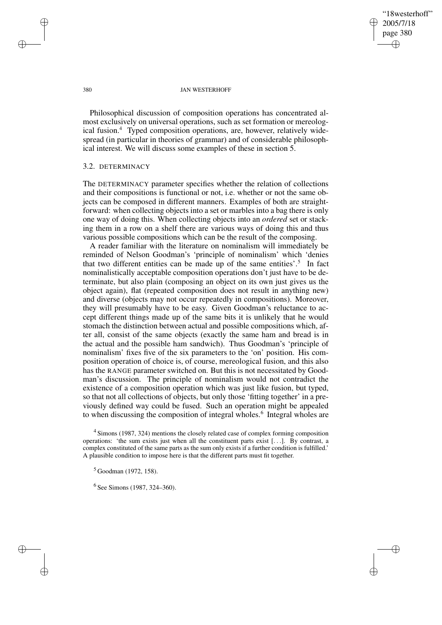✐

✐

#### 380 JAN WESTERHOFF

Philosophical discussion of composition operations has concentrated almost exclusively on universal operations, such as set formation or mereological fusion.<sup>4</sup> Typed composition operations, are, however, relatively widespread (in particular in theories of grammar) and of considerable philosophical interest. We will discuss some examples of these in section 5.

### 3.2. DETERMINACY

The DETERMINACY parameter specifies whether the relation of collections and their compositions is functional or not, i.e. whether or not the same objects can be composed in different manners. Examples of both are straightforward: when collecting objects into a set or marbles into a bag there is only one way of doing this. When collecting objects into an *ordered* set or stacking them in a row on a shelf there are various ways of doing this and thus various possible compositions which can be the result of the composing.

A reader familiar with the literature on nominalism will immediately be reminded of Nelson Goodman's 'principle of nominalism' which 'denies that two different entities can be made up of the same entities'.<sup>5</sup> In fact nominalistically acceptable composition operations don't just have to be determinate, but also plain (composing an object on its own just gives us the object again), flat (repeated composition does not result in anything new) and diverse (objects may not occur repeatedly in compositions). Moreover, they will presumably have to be easy. Given Goodman's reluctance to accept different things made up of the same bits it is unlikely that he would stomach the distinction between actual and possible compositions which, after all, consist of the same objects (exactly the same ham and bread is in the actual and the possible ham sandwich). Thus Goodman's 'principle of nominalism' fixes five of the six parameters to the 'on' position. His composition operation of choice is, of course, mereological fusion, and this also has the RANGE parameter switched on. But this is not necessitated by Goodman's discussion. The principle of nominalism would not contradict the existence of a composition operation which was just like fusion, but typed, so that not all collections of objects, but only those 'fitting together' in a previously defined way could be fused. Such an operation might be appealed to when discussing the composition of integral wholes.<sup>6</sup> Integral wholes are

<sup>4</sup> Simons (1987, 324) mentions the closely related case of complex forming composition operations: 'the sum exists just when all the constituent parts exist  $[\ldots]$ . By contrast, a complex constituted of the same parts as the sum only exists if a further condition is fulfilled.' A plausible condition to impose here is that the different parts must fit together.

✐

✐

✐

 $5$  Goodman (1972, 158).

<sup>&</sup>lt;sup>6</sup> See Simons (1987, 324–360).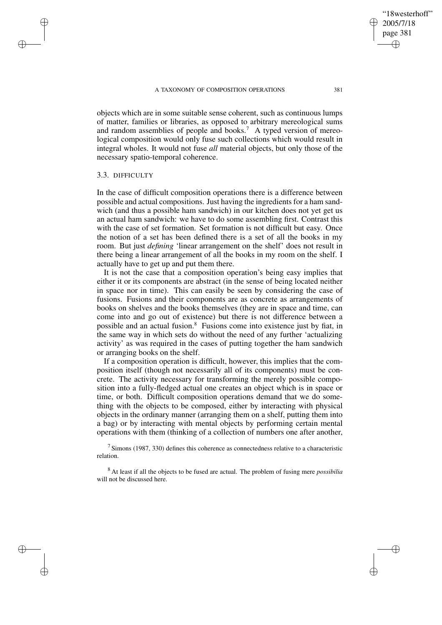objects which are in some suitable sense coherent, such as continuous lumps of matter, families or libraries, as opposed to arbitrary mereological sums and random assemblies of people and books.<sup>7</sup> A typed version of mereological composition would only fuse such collections which would result in integral wholes. It would not fuse *all* material objects, but only those of the necessary spatio-temporal coherence.

## 3.3. DIFFICULTY

✐

✐

✐

✐

In the case of difficult composition operations there is a difference between possible and actual compositions. Just having the ingredients for a ham sandwich (and thus a possible ham sandwich) in our kitchen does not yet get us an actual ham sandwich: we have to do some assembling first. Contrast this with the case of set formation. Set formation is not difficult but easy. Once the notion of a set has been defined there is a set of all the books in my room. But just *defining* 'linear arrangement on the shelf' does not result in there being a linear arrangement of all the books in my room on the shelf. I actually have to get up and put them there.

It is not the case that a composition operation's being easy implies that either it or its components are abstract (in the sense of being located neither in space nor in time). This can easily be seen by considering the case of fusions. Fusions and their components are as concrete as arrangements of books on shelves and the books themselves (they are in space and time, can come into and go out of existence) but there is not difference between a possible and an actual fusion.<sup>8</sup> Fusions come into existence just by fiat, in the same way in which sets do without the need of any further 'actualizing activity' as was required in the cases of putting together the ham sandwich or arranging books on the shelf.

If a composition operation is difficult, however, this implies that the composition itself (though not necessarily all of its components) must be concrete. The activity necessary for transforming the merely possible composition into a fully-fledged actual one creates an object which is in space or time, or both. Difficult composition operations demand that we do something with the objects to be composed, either by interacting with physical objects in the ordinary manner (arranging them on a shelf, putting them into a bag) or by interacting with mental objects by performing certain mental operations with them (thinking of a collection of numbers one after another,

 $7$  Simons (1987, 330) defines this coherence as connectedness relative to a characteristic relation.

<sup>8</sup> At least if all the objects to be fused are actual. The problem of fusing mere *possibilia* will not be discussed here.

"18westerhoff" 2005/7/18 page 381

✐

✐

✐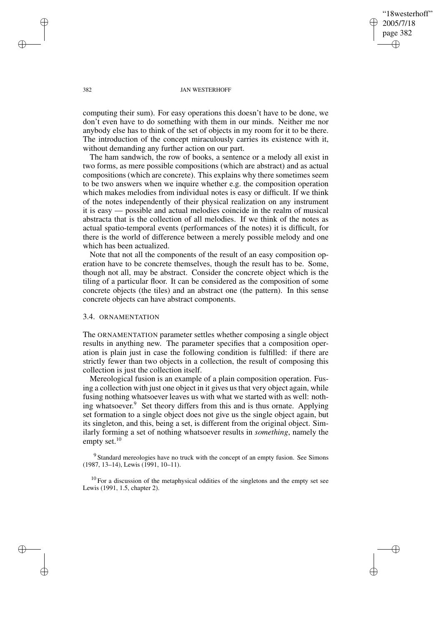"18westerhoff" 2005/7/18 page 382 ✐ ✐

✐

✐

#### 382 JAN WESTERHOFF

computing their sum). For easy operations this doesn't have to be done, we don't even have to do something with them in our minds. Neither me nor anybody else has to think of the set of objects in my room for it to be there. The introduction of the concept miraculously carries its existence with it, without demanding any further action on our part.

The ham sandwich, the row of books, a sentence or a melody all exist in two forms, as mere possible compositions (which are abstract) and as actual compositions (which are concrete). This explains why there sometimes seem to be two answers when we inquire whether e.g. the composition operation which makes melodies from individual notes is easy or difficult. If we think of the notes independently of their physical realization on any instrument it is easy — possible and actual melodies coincide in the realm of musical abstracta that is the collection of all melodies. If we think of the notes as actual spatio-temporal events (performances of the notes) it is difficult, for there is the world of difference between a merely possible melody and one which has been actualized.

Note that not all the components of the result of an easy composition operation have to be concrete themselves, though the result has to be. Some, though not all, may be abstract. Consider the concrete object which is the tiling of a particular floor. It can be considered as the composition of some concrete objects (the tiles) and an abstract one (the pattern). In this sense concrete objects can have abstract components.

### 3.4. ORNAMENTATION

The ORNAMENTATION parameter settles whether composing a single object results in anything new. The parameter specifies that a composition operation is plain just in case the following condition is fulfilled: if there are strictly fewer than two objects in a collection, the result of composing this collection is just the collection itself.

Mereological fusion is an example of a plain composition operation. Fusing a collection with just one object in it gives us that very object again, while fusing nothing whatsoever leaves us with what we started with as well: nothing whatsoever. <sup>9</sup> Set theory differs from this and is thus ornate. Applying set formation to a single object does not give us the single object again, but its singleton, and this, being a set, is different from the original object. Similarly forming a set of nothing whatsoever results in *something*, namely the empty set.<sup>10</sup>

<sup>9</sup> Standard mereologies have no truck with the concept of an empty fusion. See Simons (1987, 13–14), Lewis (1991, 10–11).

 $10$  For a discussion of the metaphysical oddities of the singletons and the empty set see Lewis (1991, 1.5, chapter 2).

✐

✐

✐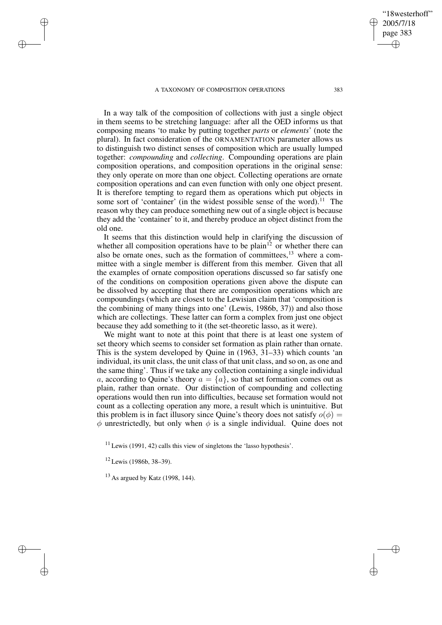In a way talk of the composition of collections with just a single object in them seems to be stretching language: after all the OED informs us that composing means 'to make by putting together *parts* or *elements*' (note the plural). In fact consideration of the ORNAMENTATION parameter allows us to distinguish two distinct senses of composition which are usually lumped together: *compounding* and *collecting*. Compounding operations are plain composition operations, and composition operations in the original sense: they only operate on more than one object. Collecting operations are ornate composition operations and can even function with only one object present. It is therefore tempting to regard them as operations which put objects in some sort of 'container' (in the widest possible sense of the word).<sup>11</sup> The reason why they can produce something new out of a single object is because they add the 'container' to it, and thereby produce an object distinct from the old one.

It seems that this distinction would help in clarifying the discussion of whether all composition operations have to be plain<sup>12</sup> or whether there can also be ornate ones, such as the formation of committees,  $13$  where a committee with a single member is different from this member. Given that all the examples of ornate composition operations discussed so far satisfy one of the conditions on composition operations given above the dispute can be dissolved by accepting that there are composition operations which are compoundings (which are closest to the Lewisian claim that 'composition is the combining of many things into one' (Lewis, 1986b, 37)) and also those which are collectings. These latter can form a complex from just one object because they add something to it (the set-theoretic lasso, as it were).

We might want to note at this point that there is at least one system of set theory which seems to consider set formation as plain rather than ornate. This is the system developed by Quine in (1963, 31–33) which counts 'an individual, its unit class, the unit class of that unit class, and so on, as one and the same thing'. Thus if we take any collection containing a single individual a, according to Quine's theory  $a = \{a\}$ , so that set formation comes out as plain, rather than ornate. Our distinction of compounding and collecting operations would then run into difficulties, because set formation would not count as a collecting operation any more, a result which is unintuitive. But this problem is in fact illusory since Quine's theory does not satisfy  $o(\phi)$  =  $\phi$  unrestrictedly, but only when  $\phi$  is a single individual. Quine does not

 $11$  Lewis (1991, 42) calls this view of singletons the 'lasso hypothesis'.

<sup>12</sup> Lewis (1986b, 38–39).

✐

✐

✐

✐

 $13$  As argued by Katz (1998, 144).

"18westerhoff" 2005/7/18 page 383

✐

✐

✐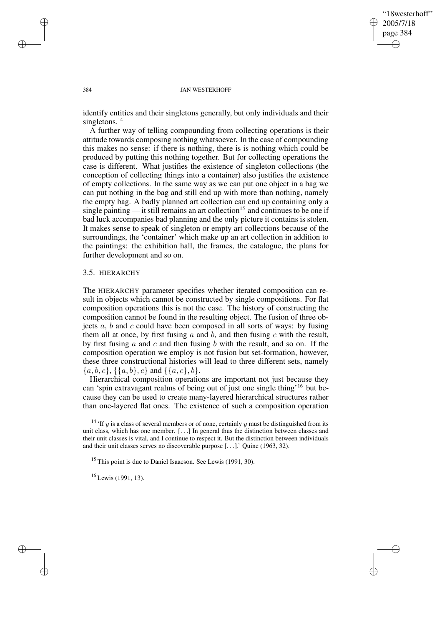✐

✐

#### 384 JAN WESTERHOFF

identify entities and their singletons generally, but only individuals and their singletons.<sup>14</sup>

A further way of telling compounding from collecting operations is their attitude towards composing nothing whatsoever. In the case of compounding this makes no sense: if there is nothing, there is is nothing which could be produced by putting this nothing together. But for collecting operations the case is different. What justifies the existence of singleton collections (the conception of collecting things into a container) also justifies the existence of empty collections. In the same way as we can put one object in a bag we can put nothing in the bag and still end up with more than nothing, namely the empty bag. A badly planned art collection can end up containing only a single painting — it still remains an art collection<sup>15</sup> and continues to be one if bad luck accompanies bad planning and the only picture it contains is stolen. It makes sense to speak of singleton or empty art collections because of the surroundings, the 'container' which make up an art collection in addition to the paintings: the exhibition hall, the frames, the catalogue, the plans for further development and so on.

# 3.5. HIERARCHY

The HIERARCHY parameter specifies whether iterated composition can result in objects which cannot be constructed by single compositions. For flat composition operations this is not the case. The history of constructing the composition cannot be found in the resulting object. The fusion of three objects  $a$ ,  $b$  and  $c$  could have been composed in all sorts of ways: by fusing them all at once, by first fusing  $a$  and  $b$ , and then fusing  $c$  with the result, by first fusing  $a$  and  $c$  and then fusing  $b$  with the result, and so on. If the composition operation we employ is not fusion but set-formation, however, these three constructional histories will lead to three different sets, namely  ${a, b, c}, {a, b}, c$  and  ${a, c}, b$ .

Hierarchical composition operations are important not just because they can 'spin extravagant realms of being out of just one single thing'<sup>16</sup> but because they can be used to create many-layered hierarchical structures rather than one-layered flat ones. The existence of such a composition operation

<sup>16</sup> Lewis (1991, 13).

✐

✐

✐

<sup>&</sup>lt;sup>14</sup> 'If y is a class of several members or of none, certainly y must be distinguished from its unit class, which has one member. [. . .] In general thus the distinction between classes and their unit classes is vital, and I continue to respect it. But the distinction between individuals and their unit classes serves no discoverable purpose [. . .].' Quine (1963, 32).

<sup>&</sup>lt;sup>15</sup> This point is due to Daniel Isaacson. See Lewis (1991, 30).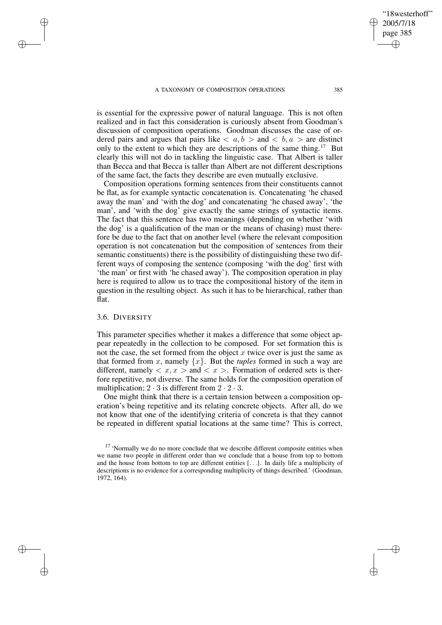is essential for the expressive power of natural language. This is not often realized and in fact this consideration is curiously absent from Goodman's discussion of composition operations. Goodman discusses the case of ordered pairs and argues that pairs like  $\langle a, b \rangle$  and  $\langle b, a \rangle$  are distinct only to the extent to which they are descriptions of the same thing.<sup>17</sup> But clearly this will not do in tackling the linguistic case. That Albert is taller than Becca and that Becca is taller than Albert are not different descriptions of the same fact, the facts they describe are even mutually exclusive.

Composition operations forming sentences from their constituents cannot be flat, as for example syntactic concatenation is. Concatenating 'he chased away the man' and 'with the dog' and concatenating 'he chased away', 'the man', and 'with the dog' give exactly the same strings of syntactic items. The fact that this sentence has two meanings (depending on whether 'with the dog' is a qualification of the man or the means of chasing) must therefore be due to the fact that on another level (where the relevant composition operation is not concatenation but the composition of sentences from their semantic constituents) there is the possibility of distinguishing these two different ways of composing the sentence (composing 'with the dog' first with 'the man' or first with 'he chased away'). The composition operation in play here is required to allow us to trace the compositional history of the item in question in the resulting object. As such it has to be hierarchical, rather than flat.

### 3.6. DIVERSITY

✐

✐

✐

✐

This parameter specifies whether it makes a difference that some object appear repeatedly in the collection to be composed. For set formation this is not the case, the set formed from the object  $x$  twice over is just the same as that formed from x, namely  $\{x\}$ . But the *tuples* formed in such a way are different, namely  $\langle x, x \rangle$  and  $\langle x \rangle$ . Formation of ordered sets is therfore repetitive, not diverse. The same holds for the composition operation of multiplication;  $2 \cdot 3$  is different from  $2 \cdot 2 \cdot 3$ .

One might think that there is a certain tension between a composition operation's being repetitive and its relating concrete objects. After all, do we not know that one of the identifying criteria of concreta is that they cannot be repeated in different spatial locations at the same time? This is correct,

"18westerhoff" 2005/7/18 page 385

✐

✐

✐

<sup>&</sup>lt;sup>17</sup> 'Normally we do no more conclude that we describe different composite entities when we name two people in different order than we conclude that a house from top to bottom and the house from bottom to top are different entities [. . .]. In daily life a multiplicity of descriptions is no evidence for a corresponding multiplicity of things described.' (Goodman, 1972, 164).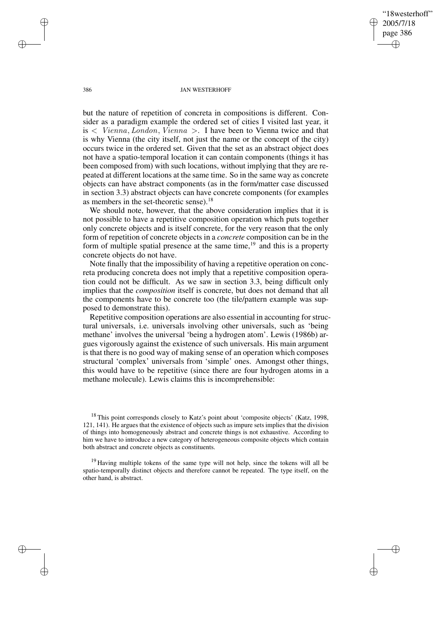"18westerhoff" 2005/7/18 page 386 ✐ ✐

✐

✐

#### 386 JAN WESTERHOFF

but the nature of repetition of concreta in compositions is different. Consider as a paradigm example the ordered set of cities I visited last year, it is  $\langle$  Vienna, London, Vienna  $\rangle$ . I have been to Vienna twice and that is why Vienna (the city itself, not just the name or the concept of the city) occurs twice in the ordered set. Given that the set as an abstract object does not have a spatio-temporal location it can contain components (things it has been composed from) with such locations, without implying that they are repeated at different locations at the same time. So in the same way as concrete objects can have abstract components (as in the form/matter case discussed in section 3.3) abstract objects can have concrete components (for examples as members in the set-theoretic sense).<sup>18</sup>

We should note, however, that the above consideration implies that it is not possible to have a repetitive composition operation which puts together only concrete objects and is itself concrete, for the very reason that the only form of repetition of concrete objects in a *concrete* composition can be in the form of multiple spatial presence at the same time, $19$  and this is a property concrete objects do not have.

Note finally that the impossibility of having a repetitive operation on concreta producing concreta does not imply that a repetitive composition operation could not be difficult. As we saw in section 3.3, being difficult only implies that the *composition* itself is concrete, but does not demand that all the components have to be concrete too (the tile/pattern example was supposed to demonstrate this).

Repetitive composition operations are also essential in accounting forstructural universals, i.e. universals involving other universals, such as 'being methane' involves the universal 'being a hydrogen atom'. Lewis (1986b) argues vigorously against the existence of such universals. His main argument is that there is no good way of making sense of an operation which composes structural 'complex' universals from 'simple' ones. Amongst other things, this would have to be repetitive (since there are four hydrogen atoms in a methane molecule). Lewis claims this is incomprehensible:

<sup>19</sup> Having multiple tokens of the same type will not help, since the tokens will all be spatio-temporally distinct objects and therefore cannot be repeated. The type itself, on the other hand, is abstract.

✐

✐

✐

<sup>&</sup>lt;sup>18</sup> This point corresponds closely to Katz's point about 'composite objects' (Katz, 1998, 121, 141). He argues that the existence of objects such as impure sets implies that the division of things into homogeneously abstract and concrete things is not exhaustive. According to him we have to introduce a new category of heterogeneous composite objects which contain both abstract and concrete objects as constituents.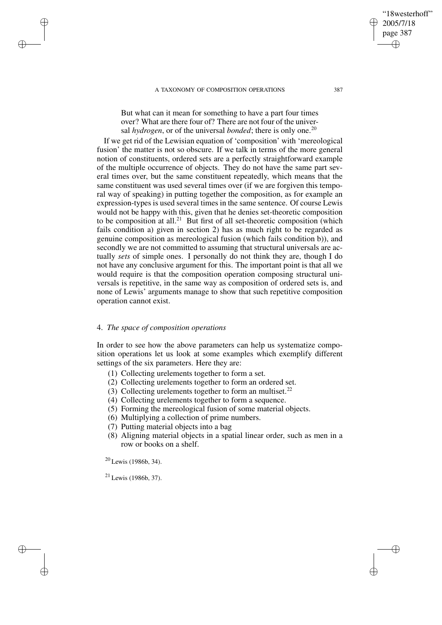But what can it mean for something to have a part four times over? What are there four of? There are not four of the universal *hydrogen*, or of the universal *bonded*; there is only one.<sup>20</sup>

If we get rid of the Lewisian equation of 'composition' with 'mereological fusion' the matter is not so obscure. If we talk in terms of the more general notion of constituents, ordered sets are a perfectly straightforward example of the multiple occurrence of objects. They do not have the same part several times over, but the same constituent repeatedly, which means that the same constituent was used several times over (if we are forgiven this temporal way of speaking) in putting together the composition, as for example an expression-types is used several times in the same sentence. Of course Lewis would not be happy with this, given that he denies set-theoretic composition to be composition at all.<sup>21</sup> But first of all set-theoretic composition (which fails condition a) given in section 2) has as much right to be regarded as genuine composition as mereological fusion (which fails condition b)), and secondly we are not committed to assuming that structural universals are actually *sets* of simple ones. I personally do not think they are, though I do not have any conclusive argument for this. The important point is that all we would require is that the composition operation composing structural universals is repetitive, in the same way as composition of ordered sets is, and none of Lewis' arguments manage to show that such repetitive composition operation cannot exist.

### 4. *The space of composition operations*

In order to see how the above parameters can help us systematize composition operations let us look at some examples which exemplify different settings of the six parameters. Here they are:

- (1) Collecting urelements together to form a set.
- (2) Collecting urelements together to form an ordered set.
- (3) Collecting urelements together to form an multiset.<sup>22</sup>
- (4) Collecting urelements together to form a sequence.
- (5) Forming the mereological fusion of some material objects.
- (6) Multiplying a collection of prime numbers.
- (7) Putting material objects into a bag
- (8) Aligning material objects in a spatial linear order, such as men in a row or books on a shelf.

<sup>20</sup> Lewis (1986b, 34).

✐

✐

✐

✐

<sup>21</sup> Lewis (1986b, 37).

"18westerhoff" 2005/7/18 page 387

✐

✐

✐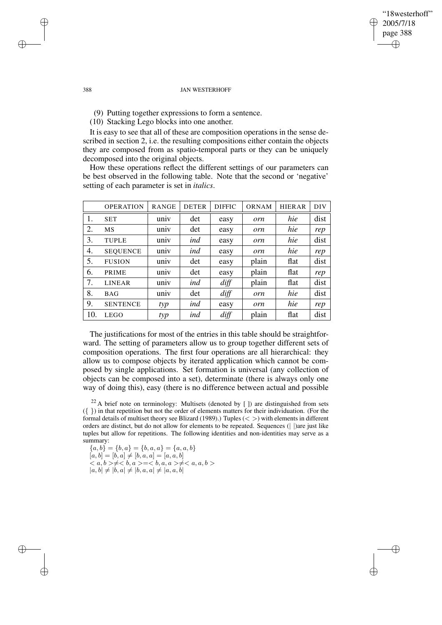## "18westerhoff" 2005/7/18 page 388 ✐ ✐

✐

✐

#### 388 JAN WESTERHOFF

(9) Putting together expressions to form a sentence.

(10) Stacking Lego blocks into one another.

It is easy to see that all of these are composition operations in the sense described in section 2, i.e. the resulting compositions either contain the objects they are composed from as spatio-temporal parts or they can be uniquely decomposed into the original objects.

How these operations reflect the different settings of our parameters can be best observed in the following table. Note that the second or 'negative' setting of each parameter is set in *italics*.

|     | <b>OPERATION</b> | <b>RANGE</b> | <b>DETER</b> | <b>DIFFIC</b> | <b>ORNAM</b> | <b>HIERAR</b> | <b>DIV</b> |
|-----|------------------|--------------|--------------|---------------|--------------|---------------|------------|
| 1.  | <b>SET</b>       | univ         | det          | easy          | orn          | hie           | dist       |
| 2.  | <b>MS</b>        | univ         | det          | easy          | orn          | hie           | rep        |
| 3.  | <b>TUPLE</b>     | univ         | ind          | easy          | orn          | hie           | dist       |
| 4.  | <b>SEQUENCE</b>  | univ         | ind          | easy          | orn          | hie           | rep        |
| 5.  | <b>FUSION</b>    | univ         | det          | easy          | plain        | flat          | dist       |
| 6.  | PRIME            | univ         | det          | easy          | plain        | flat          | rep        |
| 7.  | <b>LINEAR</b>    | univ         | ind          | diff          | plain        | flat          | dist       |
| 8.  | <b>BAG</b>       | univ         | det          | diff          | orn          | hie           | dist       |
| 9.  | <b>SENTENCE</b>  | typ          | ind          | easy          | orn          | hie           | rep        |
| 10. | <b>LEGO</b>      | typ          | ind          | diff          | plain        | flat          | dist       |

The justifications for most of the entries in this table should be straightforward. The setting of parameters allow us to group together different sets of composition operations. The first four operations are all hierarchical: they allow us to compose objects by iterated application which cannot be composed by single applications. Set formation is universal (any collection of objects can be composed into a set), determinate (there is always only one way of doing this), easy (there is no difference between actual and possible

 $22$  A brief note on terminology: Multisets (denoted by [ ]) are distinguished from sets  $({} \{\})$  in that repetition but not the order of elements matters for their individuation. (For the formal details of multiset theory see Blizard (1989).) Tuples  $(<)$  with elements in different orders are distinct, but do not allow for elements to be repeated. Sequences (| |)are just like tuples but allow for repetitions. The following identities and non-identities may serve as a summary:

 ${a, b} = {b, a} = {b, a, a} = {a, a, b}$  $[a, b] = [b, a] \neq [b, a, a] = [a, a, b]$  $a, b > \neq b, a >= b, a, a > \neq a, a, b >$  $|a, b| \neq |b, a| \neq |b, a, a| \neq |a, a, b|$ 

✐

✐

✐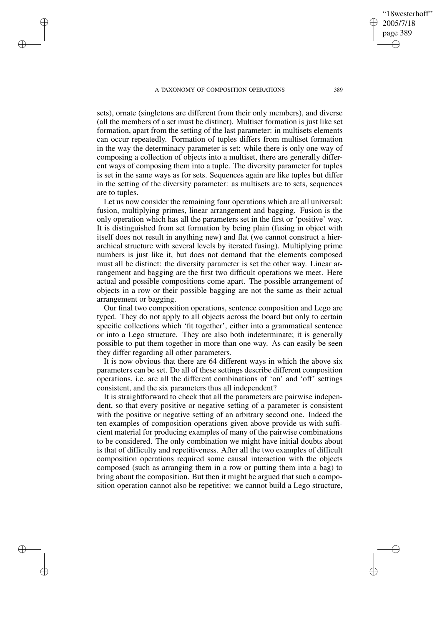✐

✐

✐

✐

sets), ornate (singletons are different from their only members), and diverse (all the members of a set must be distinct). Multiset formation is just like set formation, apart from the setting of the last parameter: in multisets elements can occur repeatedly. Formation of tuples differs from multiset formation in the way the determinacy parameter is set: while there is only one way of composing a collection of objects into a multiset, there are generally different ways of composing them into a tuple. The diversity parameter for tuples is set in the same ways as for sets. Sequences again are like tuples but differ in the setting of the diversity parameter: as multisets are to sets, sequences are to tuples.

Let us now consider the remaining four operations which are all universal: fusion, multiplying primes, linear arrangement and bagging. Fusion is the only operation which has all the parameters set in the first or 'positive' way. It is distinguished from set formation by being plain (fusing in object with itself does not result in anything new) and flat (we cannot construct a hierarchical structure with several levels by iterated fusing). Multiplying prime numbers is just like it, but does not demand that the elements composed must all be distinct: the diversity parameter is set the other way. Linear arrangement and bagging are the first two difficult operations we meet. Here actual and possible compositions come apart. The possible arrangement of objects in a row or their possible bagging are not the same as their actual arrangement or bagging.

Our final two composition operations, sentence composition and Lego are typed. They do not apply to all objects across the board but only to certain specific collections which 'fit together', either into a grammatical sentence or into a Lego structure. They are also both indeterminate; it is generally possible to put them together in more than one way. As can easily be seen they differ regarding all other parameters.

It is now obvious that there are 64 different ways in which the above six parameters can be set. Do all of these settings describe different composition operations, i.e. are all the different combinations of 'on' and 'off' settings consistent, and the six parameters thus all independent?

It is straightforward to check that all the parameters are pairwise independent, so that every positive or negative setting of a parameter is consistent with the positive or negative setting of an arbitrary second one. Indeed the ten examples of composition operations given above provide us with sufficient material for producing examples of many of the pairwise combinations to be considered. The only combination we might have initial doubts about is that of difficulty and repetitiveness. After all the two examples of difficult composition operations required some causal interaction with the objects composed (such as arranging them in a row or putting them into a bag) to bring about the composition. But then it might be argued that such a composition operation cannot also be repetitive: we cannot build a Lego structure,

✐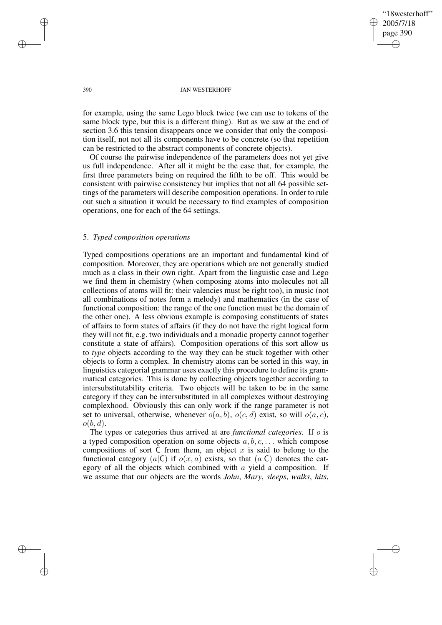✐

✐

#### 390 JAN WESTERHOFF

for example, using the same Lego block twice (we can use to tokens of the same block type, but this is a different thing). But as we saw at the end of section 3.6 this tension disappears once we consider that only the composition itself, not not all its components have to be concrete (so that repetition can be restricted to the abstract components of concrete objects).

Of course the pairwise independence of the parameters does not yet give us full independence. After all it might be the case that, for example, the first three parameters being on required the fifth to be off. This would be consistent with pairwise consistency but implies that not all 64 possible settings of the parameters will describe composition operations. In order to rule out such a situation it would be necessary to find examples of composition operations, one for each of the 64 settings.

## 5. *Typed composition operations*

Typed compositions operations are an important and fundamental kind of composition. Moreover, they are operations which are not generally studied much as a class in their own right. Apart from the linguistic case and Lego we find them in chemistry (when composing atoms into molecules not all collections of atoms will fit: their valencies must be right too), in music (not all combinations of notes form a melody) and mathematics (in the case of functional composition: the range of the one function must be the domain of the other one). A less obvious example is composing constituents of states of affairs to form states of affairs (if they do not have the right logical form they will not fit, e.g. two individuals and a monadic property cannot together constitute a state of affairs). Composition operations of this sort allow us to *type* objects according to the way they can be stuck together with other objects to form a complex. In chemistry atoms can be sorted in this way, in linguistics categorial grammar uses exactly this procedure to define its grammatical categories. This is done by collecting objects together according to intersubstitutability criteria. Two objects will be taken to be in the same category if they can be intersubstituted in all complexes without destroying complexhood. Obviously this can only work if the range parameter is not set to universal, otherwise, whenever  $o(a, b)$ ,  $o(c, d)$  exist, so will  $o(a, c)$ ,  $o(b, d)$ .

The types or categories thus arrived at are *functional categories*. If o is a typed composition operation on some objects  $a, b, c, \ldots$  which compose compositions of sort  $C$  from them, an object  $x$  is said to belong to the functional category (a|C) if  $o(x, a)$  exists, so that (a|C) denotes the category of all the objects which combined with  $a$  yield a composition. If we assume that our objects are the words *John*, *Mary*, *sleeps*, *walks*, *hits*,

✐

✐

✐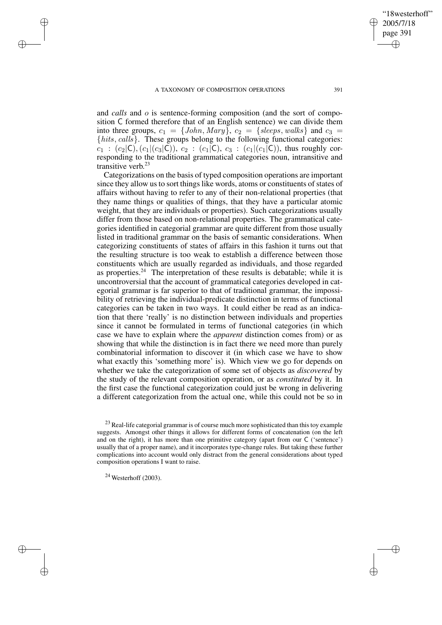"18westerhoff" 2005/7/18 page 391 ✐ ✐

✐

✐

and *calls* and *o* is sentence-forming composition (and the sort of composition C formed therefore that of an English sentence) we can divide them into three groups,  $c_1 = \{John, Mary\}$ ,  $c_2 = \{sleeps, walks\}$  and  $c_3 =$ {hits, calls}. These groups belong to the following functional categories:  $c_1$  :  $(c_2|\mathsf{C}), (c_1|(c_3|\mathsf{C})), c_2$  :  $(c_1|\mathsf{C}), c_3$  :  $(c_1|(c_1|\mathsf{C})),$  thus roughly corresponding to the traditional grammatical categories noun, intransitive and transitive verb. 23

Categorizations on the basis of typed composition operations are important since they allow us to sort things like words, atoms or constituents of states of affairs without having to refer to any of their non-relational properties (that they name things or qualities of things, that they have a particular atomic weight, that they are individuals or properties). Such categorizations usually differ from those based on non-relational properties. The grammatical categories identified in categorial grammar are quite different from those usually listed in traditional grammar on the basis of semantic considerations. When categorizing constituents of states of affairs in this fashion it turns out that the resulting structure is too weak to establish a difference between those constituents which are usually regarded as individuals, and those regarded as properties.<sup>24</sup> The interpretation of these results is debatable; while it is uncontroversial that the account of grammatical categories developed in categorial grammar is far superior to that of traditional grammar, the impossibility of retrieving the individual-predicate distinction in terms of functional categories can be taken in two ways. It could either be read as an indication that there 'really' is no distinction between individuals and properties since it cannot be formulated in terms of functional categories (in which case we have to explain where the *apparent* distinction comes from) or as showing that while the distinction is in fact there we need more than purely combinatorial information to discover it (in which case we have to show what exactly this 'something more' is). Which view we go for depends on whether we take the categorization of some set of objects as *discovered* by the study of the relevant composition operation, or as *constituted* by it. In the first case the functional categorization could just be wrong in delivering a different categorization from the actual one, while this could not be so in

 $24$  Westerhoff (2003).

✐

✐

✐

<sup>&</sup>lt;sup>23</sup> Real-life categorial grammar is of course much more sophisticated than this toy example suggests. Amongst other things it allows for different forms of concatenation (on the left and on the right), it has more than one primitive category (apart from our C ('sentence') usually that of a proper name), and it incorporates type-change rules. But taking these further complications into account would only distract from the general considerations about typed composition operations I want to raise.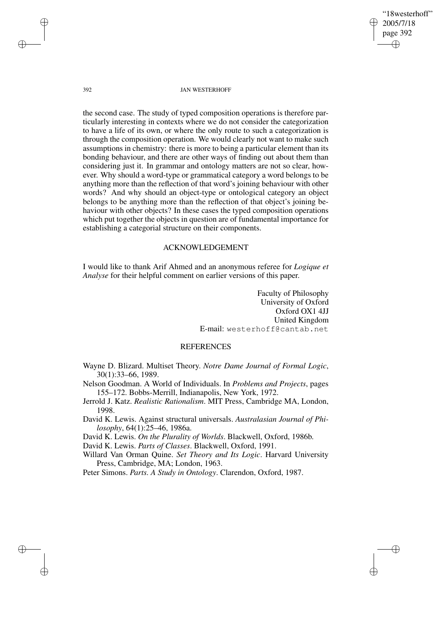"18westerhoff" 2005/7/18 page 392 ✐ ✐

✐

✐

#### 392 JAN WESTERHOFF

the second case. The study of typed composition operations is therefore particularly interesting in contexts where we do not consider the categorization to have a life of its own, or where the only route to such a categorization is through the composition operation. We would clearly not want to make such assumptions in chemistry: there is more to being a particular element than its bonding behaviour, and there are other ways of finding out about them than considering just it. In grammar and ontology matters are not so clear, however. Why should a word-type or grammatical category a word belongs to be anything more than the reflection of that word's joining behaviour with other words? And why should an object-type or ontological category an object belongs to be anything more than the reflection of that object's joining behaviour with other objects? In these cases the typed composition operations which put together the objects in question are of fundamental importance for establishing a categorial structure on their components.

# ACKNOWLEDGEMENT

I would like to thank Arif Ahmed and an anonymous referee for *Logique et Analyse* for their helpful comment on earlier versions of this paper.

> Faculty of Philosophy University of Oxford Oxford OX1 4JJ United Kingdom E-mail: westerhoff@cantab.net

# REFERENCES

- Wayne D. Blizard. Multiset Theory. *Notre Dame Journal of Formal Logic*, 30(1):33–66, 1989.
- Nelson Goodman. A World of Individuals. In *Problems and Projects*, pages 155–172. Bobbs-Merrill, Indianapolis, New York, 1972.
- Jerrold J. Katz. *Realistic Rationalism*. MIT Press, Cambridge MA, London, 1998.
- David K. Lewis. Against structural universals. *Australasian Journal of Philosophy*, 64(1):25–46, 1986a.

David K. Lewis. *On the Plurality of Worlds*. Blackwell, Oxford, 1986b.

David K. Lewis. *Parts of Classes*. Blackwell, Oxford, 1991.

Willard Van Orman Quine. *Set Theory and Its Logic*. Harvard University Press, Cambridge, MA; London, 1963.

Peter Simons. *Parts. A Study in Ontology*. Clarendon, Oxford, 1987.

✐

✐

✐